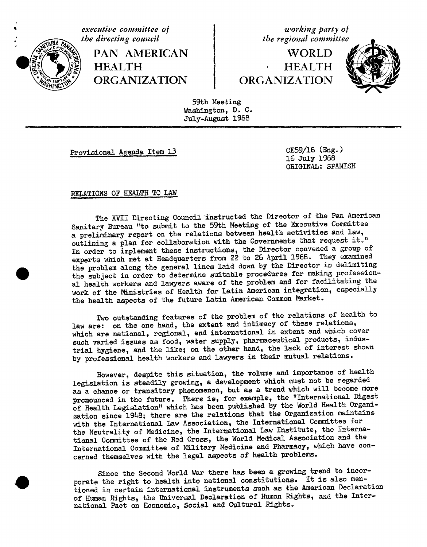

executive committee of the directing council **PAN AMERICAN HEALTH ORGANIZATION** 

working party of the regional committee

WORLD **HEALTH** ORGANIZATION



59th Meeting Washington, D. C. July-August 1968

Provisional Agenda Item 13

CE59/16 (Eng.) 16 July 1968 ORIGINAL: SPANISH

## RELATIONS OF HEALTH TO LAW

The XVII Directing Council Instructed the Director of the Pan American Sanitary Bureau "to submit to the 59th Meeting of the Executive Committee a preliminary report on the relations between health activities and law, outlining a plan for collaboration with the Governments that request it." In order to implement these instructions, the Director convened a group of experts which met at Headquarters from 22 to 26 April 1968. They examined the problem along the general lines laid down by the Director in delimiting the subject in order to determine suitable procedures for making professional health workers and lawyers aware of the problem and for facilitating the work of the Ministries of Health for Latin American integration, especially the health aspects of the future Latin American Common Market.

Two outstanding features of the problem of the relations of health to law are: on the one hand, the extent and intimacy of these relations, which are national, regional, and international in extent and which cover such varied issues as food, water supply, pharmaceutical products, industrial hygiene, and the like; on the other hand, the lack of interest shown by professional health workers and lawyers in their mutual relations.

However, despite this situation, the volume and importance of health legislation is steadily growing, a development which must not be regarded as a chance or transitory phenomenon, but as a trend which will become more pronounced in the future. There is, for example, the "International Digest of Health Legislation" which has been published by the World Health Organization since 1948; there are the relations that the Organization maintains with the International Law Association, the International Committee for the Neutrality of Medicine, the International Law Institute, the International Committee of the Red Cross, the World Medical Association and the International Committee of Military Medicine and Pharmacy, which have concerned themselves with the legal aspects of health problems.

Since the Second World War there has been a growing trend to incorporate the right to health into national constitutions. It is also mentioned in certain international instruments such as the American Declaration of Human Rights, the Universal Declaration of Human Rights, and the International Pact on Economic, Social and Cultural Rights.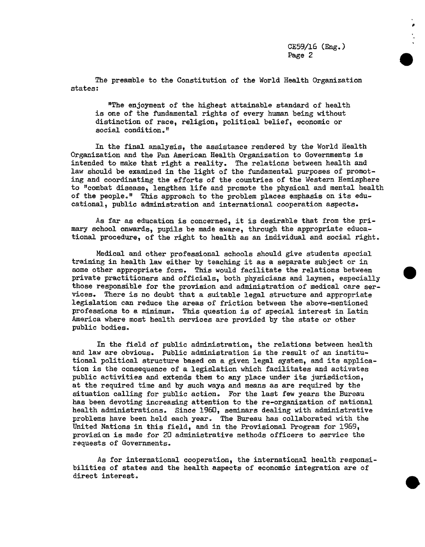The preamble to the Constitution of the World Health Organization states:

"The enjoyment of the highest attainable standard of health is one of the fundamental rights of every human being without distinction of race, religion, political belief, economic or social condition."

In the final analysis, the assistance rendered by the World Health Organization and the Pan American Health Organization to Governments is intended to make that right a reality. The relations between health and law should be examined in the light of the fundamental purposes of promoting and coordinating the efforts of the countries of the Western Hemisphere to "combat disease, lengthen life and promote the physical and mental health of the people°" This approach to the problem places emphasis on its educational, public administration and international cooperation aspects.

As far as education is concerned, it is desirable that from the primary school onwards, pupils be made aware, through the appropriate educational procedure, of the right to health as an individual and social right.

Medical and other professional schools should give students special training in health law either by teaching it as a separate subject or in some other appropriate form. This would facilitate the relations between private practitioners and officials, both physicians and laymen, especially those responsible for the provision and administration of medical care services. There is no doubt that a suitable legal structure and appropriate legislation can reduce the areas of friction between the above-mentioned professions to a minimum. This question is of special interest in Latin America where most health services are provided by the state or other public bodies.

In the field of public administration, the relations between health and law are obvious. Public administration is the result of an institutional political structure based on a given legal system, and its application is the consequence of a legislation which facilitates and activates public activities and extends them to any place under its jurisdiction, at the required time and by such ways and means as are required by the situation calling for public action. For the last few years the Bureau has been devoting increasing attention to the re-organization of national health administrations. Since 196D, seminars dealing with administrative problems have been held each year. The Bureau has collaborated with the United Nations in this field, and in the Provisional Program for 1969, provision is made for 20 administrative methods officers to service the requests of Governments.

As for international cooperation, the international health responsibilities of states and the health aspects of economic integration are of direct interest.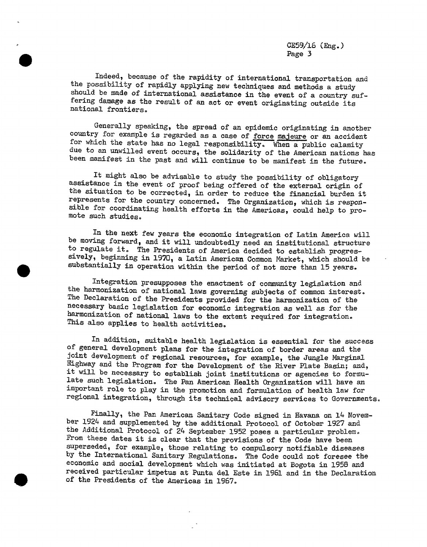$CE59/16$  (Eng.) Page 3

Indeed, because of the rapidity of international transportation and the possibility of rapidly applying new techniques and methods a study should be made of international assistance in the event of a country suffering damage as the result of an act or event originating outside its national frontiers.

Generally speaking, the spread of an epidemic originating in another country for example is regarded as a case of <u>force majeure</u> or an accident for which the state has no legal responsibility. When a public calamity due to an unwilled event occurs, the solidarity of the American nations has been manifest in the past and will continue to be manifest in the future.

It might also be advisable to study the possibility of obligatory assistance in the event of proof being offered of the external origin of the situation to be corrected, in order to reduce the financial burden it represents for the country concerned. The Organization, which is responsible for coordinating health efforts in the Americas, could help to promote such studies.

In the ne**x**t few years the economic i**n**tegration of Latin America will be moving forward, and it will undoubtedly need an institutio**n**al structure to regulate it. The Presidents of America decided to establish progressively, begin**n**ing in 1970, a Latin America**n** Common Market, which should be substantially in operation within the period of not more than 15 years.

Integration presupposes the enactment of community legislation and the harmonization of national laws governing subjects of common interest. The Declaration of the Presidents provided for the harmonization of the necessary basic legislation for economic integration as well as for the harmonization of national laws to the extent required for integration. This also applies to health activities.

In addition, suitable health legislation is essential f**o**r the success of general development plans for the integration of border areas and the joint development of regional resources, for e**x**ample, the Jungle Marginal Highway and the Program for the Development of the River Plate Basin; and, it will be necessary to establish joint institutions or agencies to formulate such legislation. The Pan American Health Organization will have an important role to play in the promotion and formulation of health law for regional integration, through its technical advisory services to Governments:

Finally, the Pan American Sanitary Code signed in Havana on 14 November 1924 and supplemented by the additional Protocol of October 1927 and the Additional Protocol of 24 September 1952 poses a particular problem. From these dates it is clear that the provisions of the Code have been superseded, for example, those relating to compulsory notifiable diseases by the International Sanitary Regulations. The Code could not foresee the economic and social development which was initiated at Bogota in 1958 and received particular impetus at Punta del Este in 1961 and in the Declaration of the Presidents of the Americas in 1967.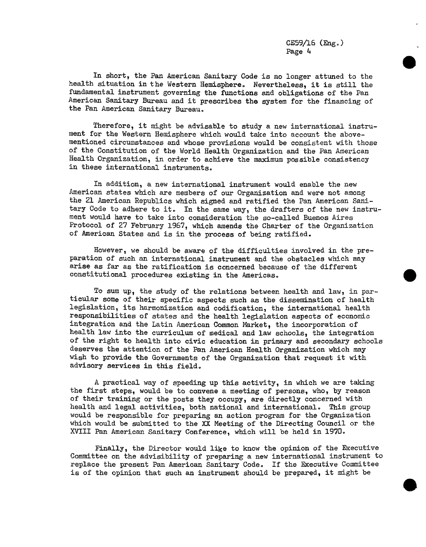CE59/16 (Eng.) Page 4

In short, the Pan American Sanitary Code is no longer attuned to the health situation in the Western Hemisphere. Nevertheless, it is still the fundamental instrument governing the functions and obligations of the Pan American Sanitary Bureau and it prescribes the system for the financing of the Pan American Sanitary Bureau.

Therefore, it might be advisable to study a new international instrument for the Western Hemisphere which would take into account the abovementioned circumstances and whose provisions would be consistent with those of the Constitution of the World Health Organization and the Pan American Health Organization, in order to achieve the maximum possible consistency in these international instruments.

In addition, a new international instrument would enable the new American states which are members of our Organization and were not among the 21 American Republics which signed and ratified the Pan American Sanitary Code to adhere to it. In the same way, the drafters of the new instrument would have to take into consideration the so-called Buenos Aires Protocol of 27 February 1967, which amends the Charter of the Organization of American States and is in the process of being ratified.

However, we should be aware of the difficulties involved in the preparation of such an international instrument and the obstacles which may arise as far as the ratification is concerned because of the different constitutional procedures existing in the Americas.

To sum up, the study of the relations between health and law, in particular some of their specific aspects such as the dissemination of health legislation, its harmonization and codification, the international health responsibilities of states and the health legislation aspects of economic integration and the Latin American Common Market, the incorporation of health law into the curriculum of medical and law schools, the integration of the right to health into civic education in primary and secondary schools deserves the attention of the Pan American Health Organization which may wish to provide the Governments of the Organization that request it with advisory services in this field.

A practical way of speeding up this activity, in which we are taking the first steps, would be to convene a meeting of persons, who, by reason of their training or the posts they occupy, are directly concerned with health and legal activities, both national and international. This group would be responsible for preparing an action program for the Organization which would be submitted to the XX Meeting of the Directing Council or the XVIII Pan American Sanitary Conference, which will be held in 1970.

Finally, the Director would like to know the opinion of the Executive Committee on the advisibility of preparing a new international instrument to replace the present Pan American Sanitary Code. If the Executive Committee is of the opinion that such an instrument should be prepared, it might be